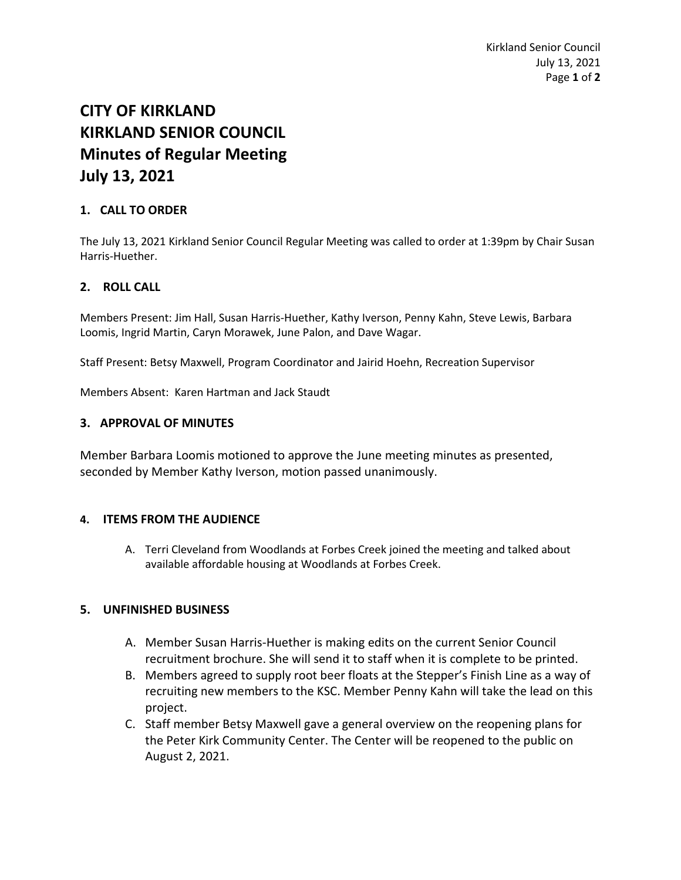# **CITY OF KIRKLAND KIRKLAND SENIOR COUNCIL Minutes of Regular Meeting July 13, 2021**

## **1. CALL TO ORDER**

The July 13, 2021 Kirkland Senior Council Regular Meeting was called to order at 1:39pm by Chair Susan Harris-Huether.

## **2. ROLL CALL**

Members Present: Jim Hall, Susan Harris-Huether, Kathy Iverson, Penny Kahn, Steve Lewis, Barbara Loomis, Ingrid Martin, Caryn Morawek, June Palon, and Dave Wagar.

Staff Present: Betsy Maxwell, Program Coordinator and Jairid Hoehn, Recreation Supervisor

Members Absent: Karen Hartman and Jack Staudt

#### **3. APPROVAL OF MINUTES**

Member Barbara Loomis motioned to approve the June meeting minutes as presented, seconded by Member Kathy Iverson, motion passed unanimously.

## **4. ITEMS FROM THE AUDIENCE**

A. Terri Cleveland from Woodlands at Forbes Creek joined the meeting and talked about available affordable housing at Woodlands at Forbes Creek.

#### **5. UNFINISHED BUSINESS**

- A. Member Susan Harris-Huether is making edits on the current Senior Council recruitment brochure. She will send it to staff when it is complete to be printed.
- B. Members agreed to supply root beer floats at the Stepper's Finish Line as a way of recruiting new members to the KSC. Member Penny Kahn will take the lead on this project.
- C. Staff member Betsy Maxwell gave a general overview on the reopening plans for the Peter Kirk Community Center. The Center will be reopened to the public on August 2, 2021.